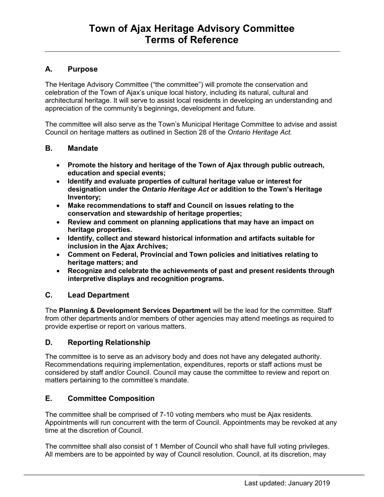# **A. Purpose**

The Heritage Advisory Committee ("the committee") will promote the conservation and celebration of the Town of Ajax's unique local history, including its natural, cultural and architectural heritage. It will serve to assist local residents in developing an understanding and appreciation of the community's beginnings, development and future.

The committee will also serve as the Town's Municipal Heritage Committee to advise and assist Council on heritage matters as outlined in Section 28 of the *Ontario Heritage Act.*

### **B. Mandate**

- **Promote the history and heritage of the Town of Ajax through public outreach, education and special events;**
- **Identify and evaluate properties of cultural heritage value or interest for designation under the** *Ontario Heritage Act* **or addition to the Town's Heritage Inventory;**
- **Make recommendations to staff and Council on issues relating to the conservation and stewardship of heritage properties;**
- **Review and comment on planning applications that may have an impact on heritage properties.**
- **Identify, collect and steward historical information and artifacts suitable for inclusion in the Ajax Archives;**
- **Comment on Federal, Provincial and Town policies and initiatives relating to heritage matters; and**
- **Recognize and celebrate the achievements of past and present residents through interpretive displays and recognition programs.**

# **C. Lead Department**

The **Planning & Development Services Department** will be the lead for the committee. Staff from other departments and/or members of other agencies may attend meetings as required to provide expertise or report on various matters.

## **D. Reporting Relationship**

The committee is to serve as an advisory body and does not have any delegated authority. Recommendations requiring implementation, expenditures, reports or staff actions must be considered by staff and/or Council. Council may cause the committee to review and report on matters pertaining to the committee's mandate.

## **E. Committee Composition**

The committee shall be comprised of 7-10 voting members who must be Ajax residents. Appointments will run concurrent with the term of Council. Appointments may be revoked at any time at the discretion of Council.

The committee shall also consist of 1 Member of Council who shall have full voting privileges. All members are to be appointed by way of Council resolution. Council, at its discretion, may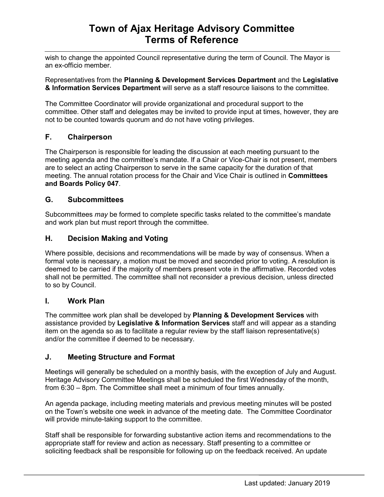wish to change the appointed Council representative during the term of Council. The Mayor is an ex-officio member.

Representatives from the **Planning & Development Services Department** and the **Legislative & Information Services Department** will serve as a staff resource liaisons to the committee.

The Committee Coordinator will provide organizational and procedural support to the committee. Other staff and delegates may be invited to provide input at times, however, they are not to be counted towards quorum and do not have voting privileges.

# **F. Chairperson**

The Chairperson is responsible for leading the discussion at each meeting pursuant to the meeting agenda and the committee's mandate. If a Chair or Vice-Chair is not present, members are to select an acting Chairperson to serve in the same capacity for the duration of that meeting. The annual rotation process for the Chair and Vice Chair is outlined in **Committees and Boards Policy 047**.

## **G. Subcommittees**

Subcommittees *may* be formed to complete specific tasks related to the committee's mandate and work plan but must report through the committee.

# **H. Decision Making and Voting**

Where possible, decisions and recommendations will be made by way of consensus. When a formal vote is necessary, a motion must be moved and seconded prior to voting. A resolution is deemed to be carried if the majority of members present vote in the affirmative. Recorded votes shall not be permitted. The committee shall not reconsider a previous decision, unless directed to so by Council.

## **I. Work Plan**

The committee work plan shall be developed by **Planning & Development Services** with assistance provided by **Legislative & Information Services** staff and will appear as a standing item on the agenda so as to facilitate a regular review by the staff liaison representative(s) and/or the committee if deemed to be necessary.

## **J. Meeting Structure and Format**

Meetings will generally be scheduled on a monthly basis, with the exception of July and August. Heritage Advisory Committee Meetings shall be scheduled the first Wednesday of the month, from 6:30 – 8pm. The Committee shall meet a minimum of four times annually.

An agenda package, including meeting materials and previous meeting minutes will be posted on the Town's website one week in advance of the meeting date. The Committee Coordinator will provide minute-taking support to the committee.

Staff shall be responsible for forwarding substantive action items and recommendations to the appropriate staff for review and action as necessary. Staff presenting to a committee or soliciting feedback shall be responsible for following up on the feedback received. An update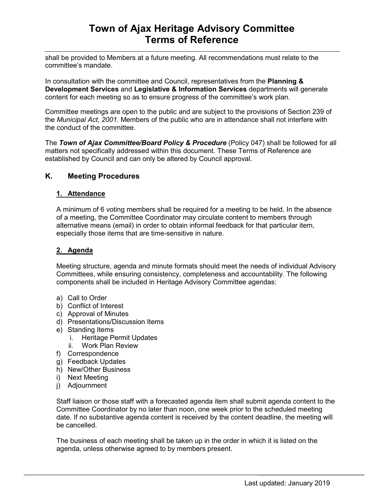# **Town of Ajax Heritage Advisory Committee Terms of Reference**

shall be provided to Members at a future meeting. All recommendations must relate to the committee's mandate.

In consultation with the committee and Council, representatives from the **Planning & Development Services** and **Legislative & Information Services** departments will generate content for each meeting so as to ensure progress of the committee's work plan.

Committee meetings are open to the public and are subject to the provisions of Section 239 of the *Municipal Act, 2001*. Members of the public who are in attendance shall not interfere with the conduct of the committee.

The *Town of Ajax Committee/Board Policy & Procedure* (Policy 047) shall be followed for all matters not specifically addressed within this document. These Terms of Reference are established by Council and can only be altered by Council approval.

## **K. Meeting Procedures**

### **1. Attendance**

A minimum of 6 voting members shall be required for a meeting to be held. In the absence of a meeting, the Committee Coordinator may circulate content to members through alternative means (email) in order to obtain informal feedback for that particular item, especially those items that are time-sensitive in nature.

### **2. Agenda**

Meeting structure, agenda and minute formats should meet the needs of individual Advisory Committees, while ensuring consistency, completeness and accountability. The following components shall be included in Heritage Advisory Committee agendas:

- a) Call to Order
- b) Conflict of Interest
- c) Approval of Minutes
- d) Presentations/Discussion Items
- e) Standing Items
	- i. Heritage Permit Updates
	- ii. Work Plan Review
- f) Correspondence
- g) Feedback Updates
- h) New/Other Business
- i) Next Meeting
- j) Adjournment

Staff liaison or those staff with a forecasted agenda item shall submit agenda content to the Committee Coordinator by no later than noon, one week prior to the scheduled meeting date. If no substantive agenda content is received by the content deadline, the meeting will be cancelled.

The business of each meeting shall be taken up in the order in which it is listed on the agenda, unless otherwise agreed to by members present.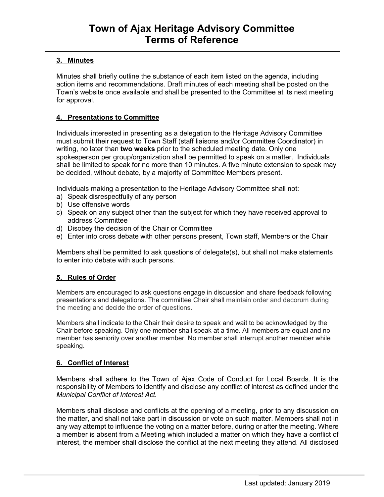# **3. Minutes**

Minutes shall briefly outline the substance of each item listed on the agenda, including action items and recommendations. Draft minutes of each meeting shall be posted on the Town's website once available and shall be presented to the Committee at its next meeting for approval.

### **4. Presentations to Committee**

Individuals interested in presenting as a delegation to the Heritage Advisory Committee must submit their request to Town Staff (staff liaisons and/or Committee Coordinator) in writing, no later than **two weeks** prior to the scheduled meeting date. Only one spokesperson per group/organization shall be permitted to speak on a matter. Individuals shall be limited to speak for no more than 10 minutes. A five minute extension to speak may be decided, without debate, by a majority of Committee Members present.

Individuals making a presentation to the Heritage Advisory Committee shall not:

- a) Speak disrespectfully of any person
- b) Use offensive words
- c) Speak on any subject other than the subject for which they have received approval to address Committee
- d) Disobey the decision of the Chair or Committee
- e) Enter into cross debate with other persons present, Town staff, Members or the Chair

Members shall be permitted to ask questions of delegate(s), but shall not make statements to enter into debate with such persons.

### **5. Rules of Order**

Members are encouraged to ask questions engage in discussion and share feedback following presentations and delegations. The committee Chair shall maintain order and decorum during the meeting and decide the order of questions.

Members shall indicate to the Chair their desire to speak and wait to be acknowledged by the Chair before speaking. Only one member shall speak at a time. All members are equal and no member has seniority over another member. No member shall interrupt another member while speaking.

### **6. Conflict of Interest**

Members shall adhere to the Town of Ajax Code of Conduct for Local Boards. It is the responsibility of Members to identify and disclose any conflict of interest as defined under the *Municipal Conflict of Interest Act.*

Members shall disclose and conflicts at the opening of a meeting, prior to any discussion on the matter, and shall not take part in discussion or vote on such matter. Members shall not in any way attempt to influence the voting on a matter before, during or after the meeting. Where a member is absent from a Meeting which included a matter on which they have a conflict of interest, the member shall disclose the conflict at the next meeting they attend. All disclosed